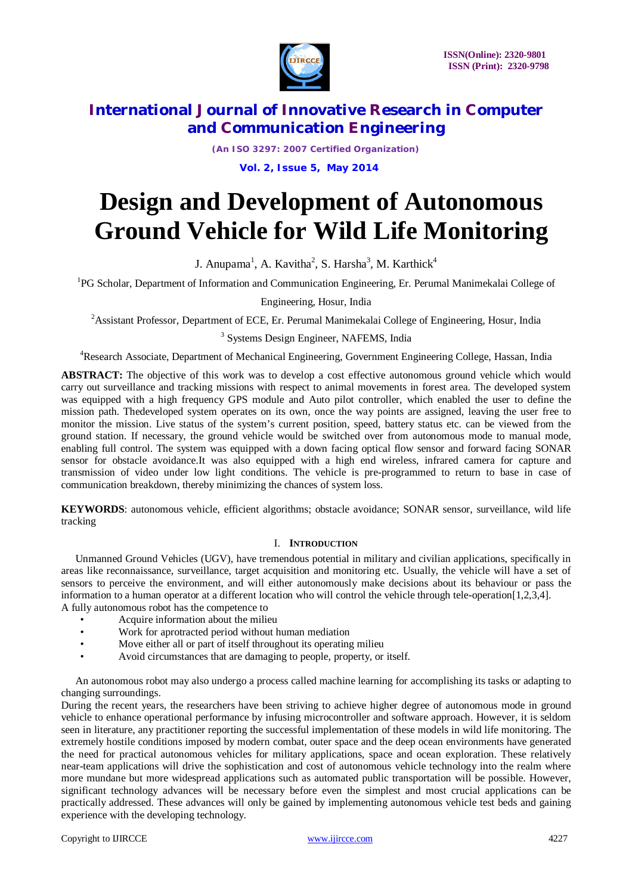

*(An ISO 3297: 2007 Certified Organization)* **Vol. 2, Issue 5, May 2014**

# **Design and Development of Autonomous Ground Vehicle for Wild Life Monitoring**

J. Anupama<sup>1</sup>, A. Kavitha<sup>2</sup>, S. Harsha<sup>3</sup>, M. Karthick<sup>4</sup>

<sup>1</sup>PG Scholar, Department of Information and Communication Engineering, Er. Perumal Manimekalai College of

Engineering, Hosur, India

<sup>2</sup> Assistant Professor, Department of ECE, Er. Perumal Manimekalai College of Engineering, Hosur, India

### <sup>3</sup> Systems Design Engineer, NAFEMS, India

<sup>4</sup>Research Associate, Department of Mechanical Engineering, Government Engineering College, Hassan, India

**ABSTRACT:** The objective of this work was to develop a cost effective autonomous ground vehicle which would carry out surveillance and tracking missions with respect to animal movements in forest area. The developed system was equipped with a high frequency GPS module and Auto pilot controller, which enabled the user to define the mission path. Thedeveloped system operates on its own, once the way points are assigned, leaving the user free to monitor the mission. Live status of the system's current position, speed, battery status etc. can be viewed from the ground station. If necessary, the ground vehicle would be switched over from autonomous mode to manual mode, enabling full control. The system was equipped with a down facing optical flow sensor and forward facing SONAR sensor for obstacle avoidance.It was also equipped with a high end wireless, infrared camera for capture and transmission of video under low light conditions. The vehicle is pre-programmed to return to base in case of communication breakdown, thereby minimizing the chances of system loss.

**KEYWORDS**: autonomous vehicle, efficient algorithms; obstacle avoidance; SONAR sensor, surveillance, wild life tracking

### I. **INTRODUCTION**

Unmanned Ground Vehicles (UGV), have tremendous potential in military and civilian applications, specifically in areas like reconnaissance, surveillance, target acquisition and monitoring etc. Usually, the vehicle will have a set of sensors to perceive the environment, and will either autonomously make decisions about its behaviour or pass the information to a human operator at a different location who will control the vehicle through tele-operation[1,2,3,4]. A fully autonomous robot has the competence to

- Acquire information about the milieu
- Work for aprotracted period without human mediation<br>• Move either all or part of itself throughout its operating
- Move either all or part of itself throughout its operating milieu
- Avoid circumstances that are damaging to people, property, or itself.

An autonomous robot may also undergo a process called machine learning for accomplishing its tasks or adapting to changing surroundings.

During the recent years, the researchers have been striving to achieve higher degree of autonomous mode in ground vehicle to enhance operational performance by infusing microcontroller and software approach. However, it is seldom seen in literature, any practitioner reporting the successful implementation of these models in wild life monitoring. The extremely hostile conditions imposed by modern combat, outer space and the deep ocean environments have generated the need for practical autonomous vehicles for military applications, space and ocean exploration. These relatively near-team applications will drive the sophistication and cost of autonomous vehicle technology into the realm where more mundane but more widespread applications such as automated public transportation will be possible. However, significant technology advances will be necessary before even the simplest and most crucial applications can be practically addressed. These advances will only be gained by implementing autonomous vehicle test beds and gaining experience with the developing technology.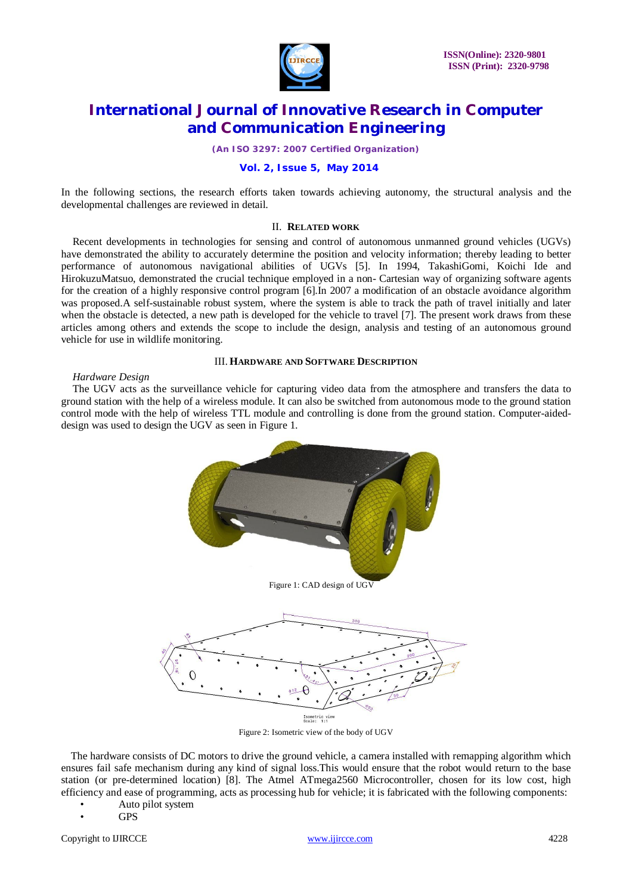

*(An ISO 3297: 2007 Certified Organization)*

#### **Vol. 2, Issue 5, May 2014**

In the following sections, the research efforts taken towards achieving autonomy, the structural analysis and the developmental challenges are reviewed in detail.

### II. **RELATED WORK**

Recent developments in technologies for sensing and control of autonomous unmanned ground vehicles (UGVs) have demonstrated the ability to accurately determine the position and velocity information; thereby leading to better performance of autonomous navigational abilities of UGVs [5]. In 1994, TakashiGomi, Koichi Ide and HirokuzuMatsuo, demonstrated the crucial technique employed in a non- Cartesian way of organizing software agents for the creation of a highly responsive control program [6].In 2007 a modification of an obstacle avoidance algorithm was proposed.A self-sustainable robust system, where the system is able to track the path of travel initially and later when the obstacle is detected, a new path is developed for the vehicle to travel [7]. The present work draws from these articles among others and extends the scope to include the design, analysis and testing of an autonomous ground vehicle for use in wildlife monitoring.

#### III. **HARDWARE AND SOFTWARE DESCRIPTION**

#### *Hardware Design*

The UGV acts as the surveillance vehicle for capturing video data from the atmosphere and transfers the data to ground station with the help of a wireless module. It can also be switched from autonomous mode to the ground station control mode with the help of wireless TTL module and controlling is done from the ground station. Computer-aideddesign was used to design the UGV as seen in Figure 1.



Figure 2: Isometric view of the body of UGV

The hardware consists of DC motors to drive the ground vehicle, a camera installed with remapping algorithm which ensures fail safe mechanism during any kind of signal loss.This would ensure that the robot would return to the base station (or pre-determined location) [8]. The Atmel ATmega2560 Microcontroller, chosen for its low cost, high efficiency and ease of programming, acts as processing hub for vehicle; it is fabricated with the following components:

- Auto pilot system
- GPS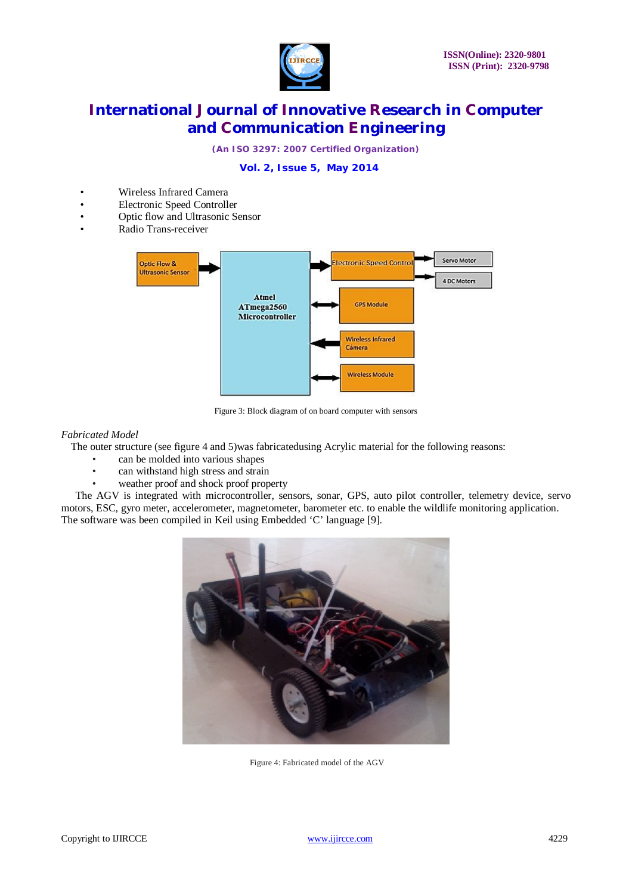

*(An ISO 3297: 2007 Certified Organization)*

### **Vol. 2, Issue 5, May 2014**

- Wireless Infrared Camera
- Electronic Speed Controller
- Optic flow and Ultrasonic Sensor
- Radio Trans-receiver



Figure 3: Block diagram of on board computer with sensors

### *Fabricated Model*

The outer structure (see figure 4 and 5)was fabricatedusing Acrylic material for the following reasons:

- can be molded into various shapes
- can withstand high stress and strain
- weather proof and shock proof property

The AGV is integrated with microcontroller, sensors, sonar, GPS, auto pilot controller, telemetry device, servo motors, ESC, gyro meter, accelerometer, magnetometer, barometer etc. to enable the wildlife monitoring application. The software was been compiled in Keil using Embedded 'C' language [9].



Figure 4: Fabricated model of the AGV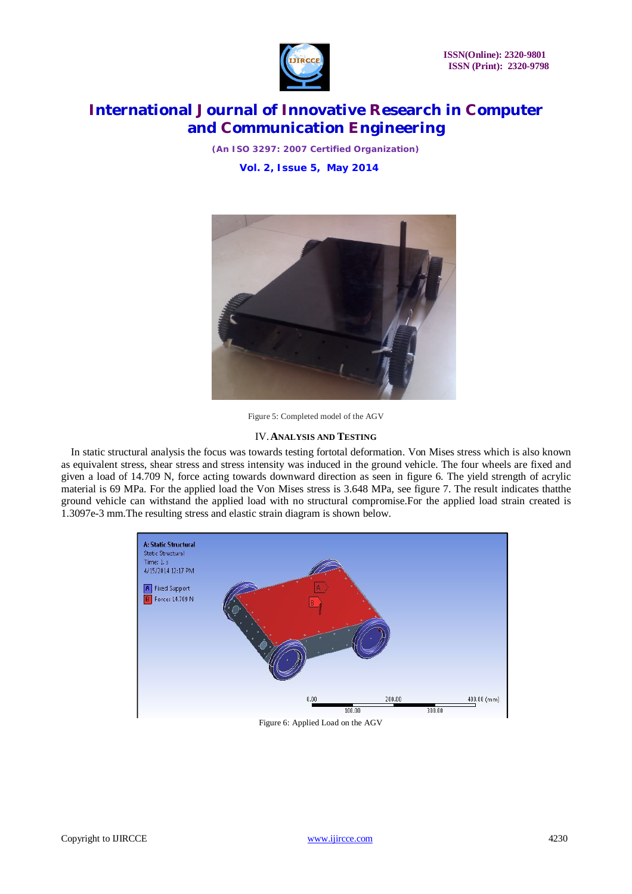

*(An ISO 3297: 2007 Certified Organization)* **Vol. 2, Issue 5, May 2014**



Figure 5: Completed model of the AGV

#### IV.**ANALYSIS AND TESTING**

In static structural analysis the focus was towards testing fortotal deformation. Von Mises stress which is also known as equivalent stress, shear stress and stress intensity was induced in the ground vehicle. The four wheels are fixed and given a load of 14.709 N, force acting towards downward direction as seen in figure 6. The yield strength of acrylic material is 69 MPa. For the applied load the Von Mises stress is 3.648 MPa, see figure 7. The result indicates thatthe ground vehicle can withstand the applied load with no structural compromise.For the applied load strain created is 1.3097e-3 mm.The resulting stress and elastic strain diagram is shown below.

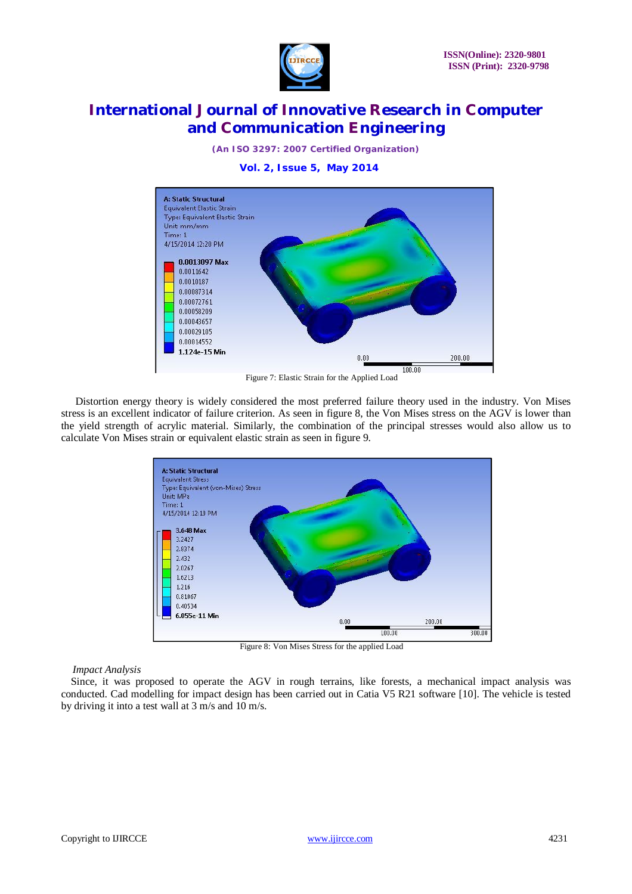

*(An ISO 3297: 2007 Certified Organization)*

**Vol. 2, Issue 5, May 2014**



Figure 7: Elastic Strain for the Applied Load

Distortion energy theory is widely considered the most preferred failure theory used in the industry. Von Mises stress is an excellent indicator of failure criterion. As seen in figure 8, the Von Mises stress on the AGV is lower than the yield strength of acrylic material. Similarly, the combination of the principal stresses would also allow us to calculate Von Mises strain or equivalent elastic strain as seen in figure 9.



Figure 8: Von Mises Stress for the applied Load

*Impact Analysis*

Since, it was proposed to operate the AGV in rough terrains, like forests, a mechanical impact analysis was conducted. Cad modelling for impact design has been carried out in Catia V5 R21 software [10]. The vehicle is tested by driving it into a test wall at 3 m/s and 10 m/s.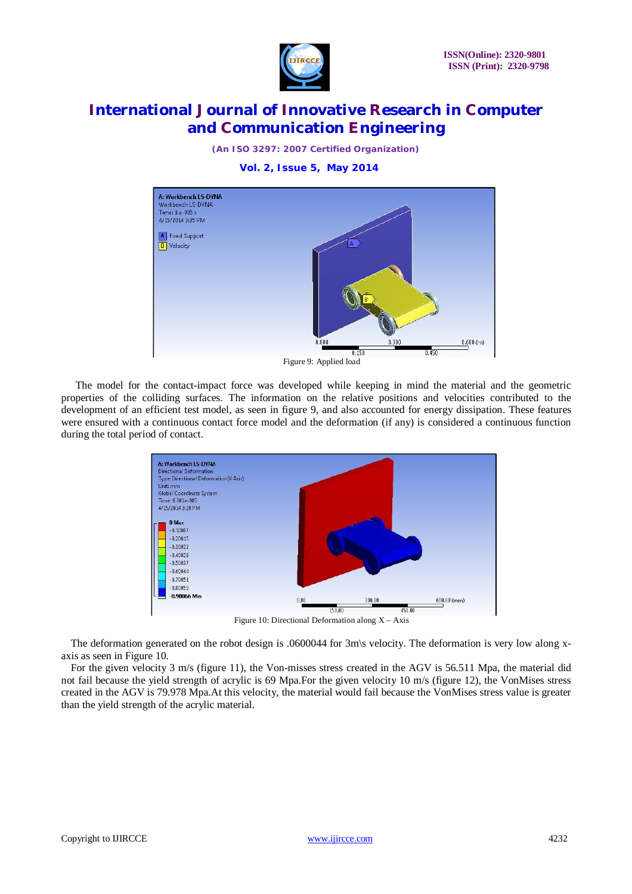

*(An ISO 3297: 2007 Certified Organization)*

**Vol. 2, Issue 5, May 2014**



Figure 9: Applied load

The model for the contact-impact force was developed while keeping in mind the material and the geometric properties of the colliding surfaces. The information on the relative positions and velocities contributed to the development of an efficient test model, as seen in figure 9, and also accounted for energy dissipation. These features were ensured with a continuous contact force model and the deformation (if any) is considered a continuous function during the total period of contact.



Figure 10: Directional Deformation along  $X - A$ xis

The deformation generated on the robot design is .0600044 for 3m\s velocity. The deformation is very low along xaxis as seen in Figure 10.

For the given velocity 3 m/s (figure 11), the Von-misses stress created in the AGV is 56.511 Mpa, the material did not fail because the yield strength of acrylic is 69 Mpa.For the given velocity 10 m/s (figure 12), the VonMises stress created in the AGV is 79.978 Mpa.At this velocity, the material would fail because the VonMises stress value is greater than the yield strength of the acrylic material.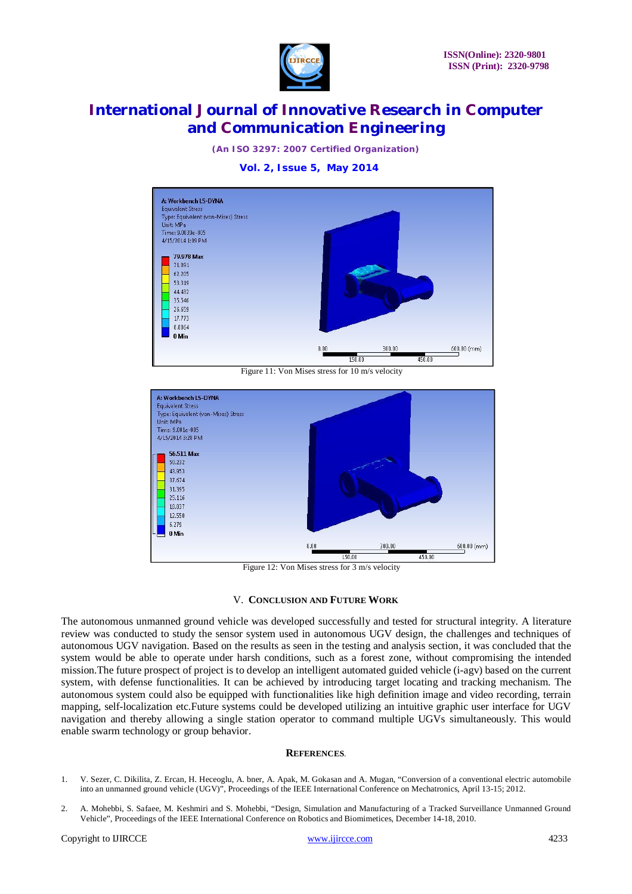

*(An ISO 3297: 2007 Certified Organization)*

#### **Vol. 2, Issue 5, May 2014**



Figure 11: Von Mises stress for 10 m/s velocity



Figure 12: Von Mises stress for 3 m/s velocity

#### V. **CONCLUSION AND FUTURE WORK**

The autonomous unmanned ground vehicle was developed successfully and tested for structural integrity. A literature review was conducted to study the sensor system used in autonomous UGV design, the challenges and techniques of autonomous UGV navigation. Based on the results as seen in the testing and analysis section, it was concluded that the system would be able to operate under harsh conditions, such as a forest zone, without compromising the intended mission.The future prospect of project is to develop an intelligent automated guided vehicle (i-agv) based on the current system, with defense functionalities. It can be achieved by introducing target locating and tracking mechanism. The autonomous system could also be equipped with functionalities like high definition image and video recording, terrain mapping, self-localization etc.Future systems could be developed utilizing an intuitive graphic user interface for UGV navigation and thereby allowing a single station operator to command multiple UGVs simultaneously. This would enable swarm technology or group behavior.

#### **REFERENCES**.

- 1. V. Sezer, C. Dikilita, Z. Ercan, H. Heceoglu, A. bner, A. Apak, M. Gokasan and A. Mugan, "Conversion of a conventional electric automobile into an unmanned ground vehicle (UGV)", Proceedings of the IEEE International Conference on Mechatronics, April 13-15; 2012.
- 2. A. Mohebbi, S. Safaee, M. Keshmiri and S. Mohebbi, "Design, Simulation and Manufacturing of a Tracked Surveillance Unmanned Ground Vehicle", Proceedings of the IEEE International Conference on Robotics and Biomimetices, December 14-18, 2010.